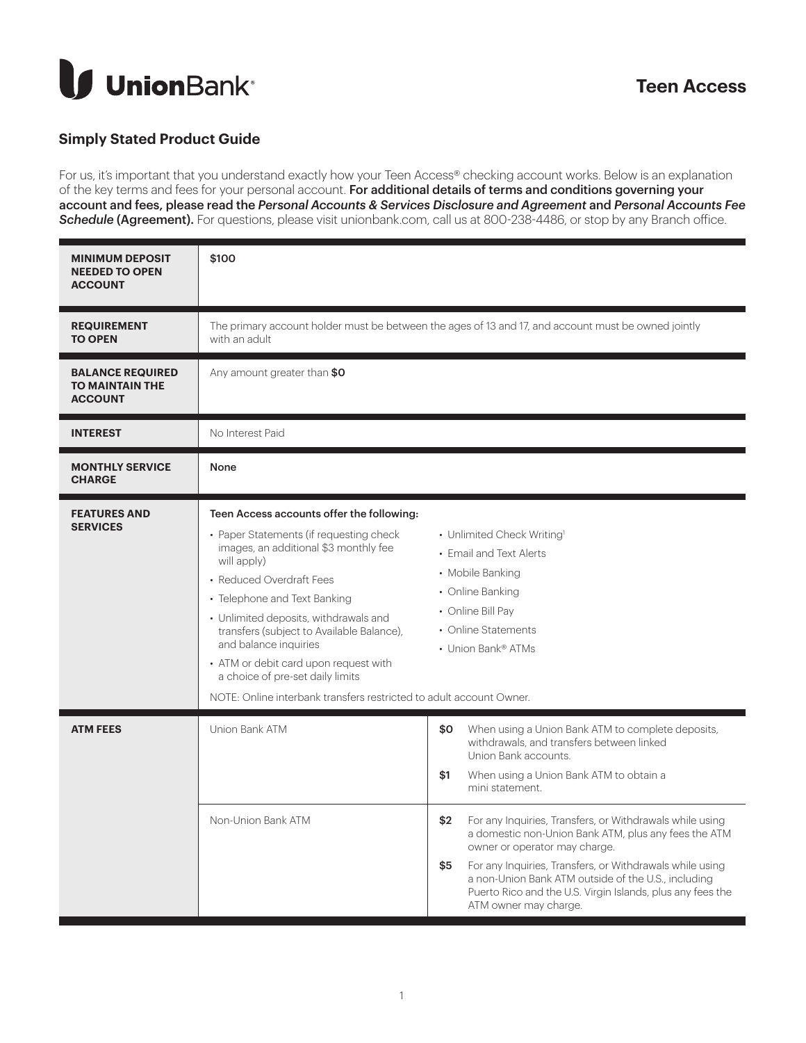

## **Simply Stated Product Guide**

For us, it's important that you understand exactly how your Teen Access® checking account works. Below is an explanation of the key terms and fees for your personal account. For additional details of terms and conditions governing your account and fees, please read the *Personal Accounts & Services Disclosure and Agreement* and *Personal Accounts Fee*  **Schedule (Agreement).** For questions, please visit unionbank.com, call us at 800-238-4486, or stop by any Branch office.

| <b>MINIMUM DEPOSIT</b><br><b>NEEDED TO OPEN</b><br><b>ACCOUNT</b>   | \$100                                                                                                                                                                                                                                                                                                                                                                                                                                                                       |                                                                                                                                                                             |                                                                                                                                                                                                                                                                                                          |  |  |
|---------------------------------------------------------------------|-----------------------------------------------------------------------------------------------------------------------------------------------------------------------------------------------------------------------------------------------------------------------------------------------------------------------------------------------------------------------------------------------------------------------------------------------------------------------------|-----------------------------------------------------------------------------------------------------------------------------------------------------------------------------|----------------------------------------------------------------------------------------------------------------------------------------------------------------------------------------------------------------------------------------------------------------------------------------------------------|--|--|
| <b>REQUIREMENT</b><br><b>TO OPEN</b>                                | The primary account holder must be between the ages of 13 and 17, and account must be owned jointly<br>with an adult                                                                                                                                                                                                                                                                                                                                                        |                                                                                                                                                                             |                                                                                                                                                                                                                                                                                                          |  |  |
| <b>BALANCE REQUIRED</b><br><b>TO MAINTAIN THE</b><br><b>ACCOUNT</b> | Any amount greater than \$0                                                                                                                                                                                                                                                                                                                                                                                                                                                 |                                                                                                                                                                             |                                                                                                                                                                                                                                                                                                          |  |  |
| <b>INTEREST</b>                                                     | No Interest Paid                                                                                                                                                                                                                                                                                                                                                                                                                                                            |                                                                                                                                                                             |                                                                                                                                                                                                                                                                                                          |  |  |
| <b>MONTHLY SERVICE</b><br><b>CHARGE</b>                             | None                                                                                                                                                                                                                                                                                                                                                                                                                                                                        |                                                                                                                                                                             |                                                                                                                                                                                                                                                                                                          |  |  |
| <b>FEATURES AND</b><br><b>SERVICES</b>                              | Teen Access accounts offer the following:<br>• Paper Statements (if requesting check<br>images, an additional \$3 monthly fee<br>will apply)<br>• Reduced Overdraft Fees<br>• Telephone and Text Banking<br>• Unlimited deposits, withdrawals and<br>transfers (subject to Available Balance),<br>and balance inquiries<br>• ATM or debit card upon request with<br>a choice of pre-set daily limits<br>NOTE: Online interbank transfers restricted to adult account Owner. | • Unlimited Check Writing <sup>1</sup><br>• Fmail and Text Alerts<br>• Mobile Banking<br>• Online Banking<br>• Online Bill Pay<br>• Online Statements<br>• Union Bank® ATMs |                                                                                                                                                                                                                                                                                                          |  |  |
| <b>ATM FEES</b>                                                     | <b>Union Bank ATM</b><br>Non-Union Bank ATM                                                                                                                                                                                                                                                                                                                                                                                                                                 | \$0<br>\$1<br>\$2                                                                                                                                                           | When using a Union Bank ATM to complete deposits,<br>withdrawals, and transfers between linked<br>Union Bank accounts.<br>When using a Union Bank ATM to obtain a<br>mini statement.<br>For any Inquiries, Transfers, or Withdrawals while using<br>a domestic non-Union Bank ATM, plus any fees the ATM |  |  |
|                                                                     |                                                                                                                                                                                                                                                                                                                                                                                                                                                                             | \$5                                                                                                                                                                         | owner or operator may charge.<br>For any Inquiries, Transfers, or Withdrawals while using<br>a non-Union Bank ATM outside of the U.S., including<br>Puerto Rico and the U.S. Virgin Islands, plus any fees the<br>ATM owner may charge.                                                                  |  |  |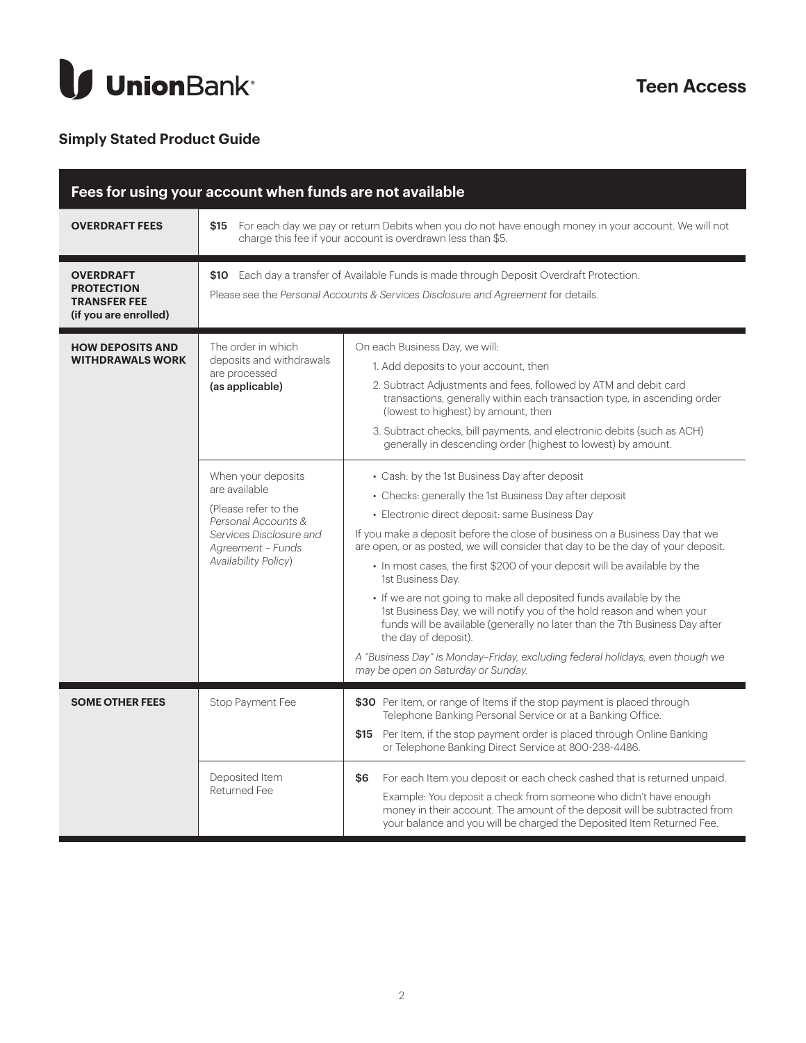

## **Simply Stated Product Guide**

| Fees for using your account when funds are not available                              |                                                                                                                                                                                |                                                                                                                                                                                                                                                                                                                                                                                                                                                                                                                                                                                                                                                                                                                                                                                                              |  |  |
|---------------------------------------------------------------------------------------|--------------------------------------------------------------------------------------------------------------------------------------------------------------------------------|--------------------------------------------------------------------------------------------------------------------------------------------------------------------------------------------------------------------------------------------------------------------------------------------------------------------------------------------------------------------------------------------------------------------------------------------------------------------------------------------------------------------------------------------------------------------------------------------------------------------------------------------------------------------------------------------------------------------------------------------------------------------------------------------------------------|--|--|
| <b>OVERDRAFT FEES</b>                                                                 | \$15 For each day we pay or return Debits when you do not have enough money in your account. We will not<br>charge this fee if your account is overdrawn less than \$5.        |                                                                                                                                                                                                                                                                                                                                                                                                                                                                                                                                                                                                                                                                                                                                                                                                              |  |  |
| <b>OVERDRAFT</b><br><b>PROTECTION</b><br><b>TRANSFER FEE</b><br>(if you are enrolled) | \$10 Each day a transfer of Available Funds is made through Deposit Overdraft Protection.<br>Please see the Personal Accounts & Services Disclosure and Agreement for details. |                                                                                                                                                                                                                                                                                                                                                                                                                                                                                                                                                                                                                                                                                                                                                                                                              |  |  |
| <b>HOW DEPOSITS AND</b><br><b>WITHDRAWALS WORK</b>                                    | The order in which<br>deposits and withdrawals<br>are processed<br>(as applicable)                                                                                             | On each Business Day, we will:<br>1. Add deposits to your account, then<br>2. Subtract Adjustments and fees, followed by ATM and debit card<br>transactions, generally within each transaction type, in ascending order<br>(lowest to highest) by amount, then<br>3. Subtract checks, bill payments, and electronic debits (such as ACH)<br>generally in descending order (highest to lowest) by amount.                                                                                                                                                                                                                                                                                                                                                                                                     |  |  |
|                                                                                       | When your deposits<br>are available<br>(Please refer to the<br>Personal Accounts &<br>Services Disclosure and<br>Agreement - Funds<br><b>Availability Policy)</b>              | • Cash: by the 1st Business Day after deposit<br>• Checks: generally the 1st Business Day after deposit<br>• Electronic direct deposit: same Business Day<br>If you make a deposit before the close of business on a Business Day that we<br>are open, or as posted, we will consider that day to be the day of your deposit.<br>• In most cases, the first \$200 of your deposit will be available by the<br>1st Business Day.<br>• If we are not going to make all deposited funds available by the<br>1st Business Day, we will notify you of the hold reason and when your<br>funds will be available (generally no later than the 7th Business Day after<br>the day of deposit).<br>A "Business Day" is Monday-Friday, excluding federal holidays, even though we<br>may be open on Saturday or Sunday. |  |  |
| <b>SOME OTHER FEES</b>                                                                | Stop Payment Fee<br>Deposited Item<br><b>Returned Fee</b>                                                                                                                      | \$30 Per Item, or range of Items if the stop payment is placed through<br>Telephone Banking Personal Service or at a Banking Office.<br>\$15 Per Item, if the stop payment order is placed through Online Banking<br>or Telephone Banking Direct Service at 800-238-4486.<br>For each Item you deposit or each check cashed that is returned unpaid.<br>\$6<br>Example: You deposit a check from someone who didn't have enough<br>money in their account. The amount of the deposit will be subtracted from<br>your balance and you will be charged the Deposited Item Returned Fee.                                                                                                                                                                                                                        |  |  |